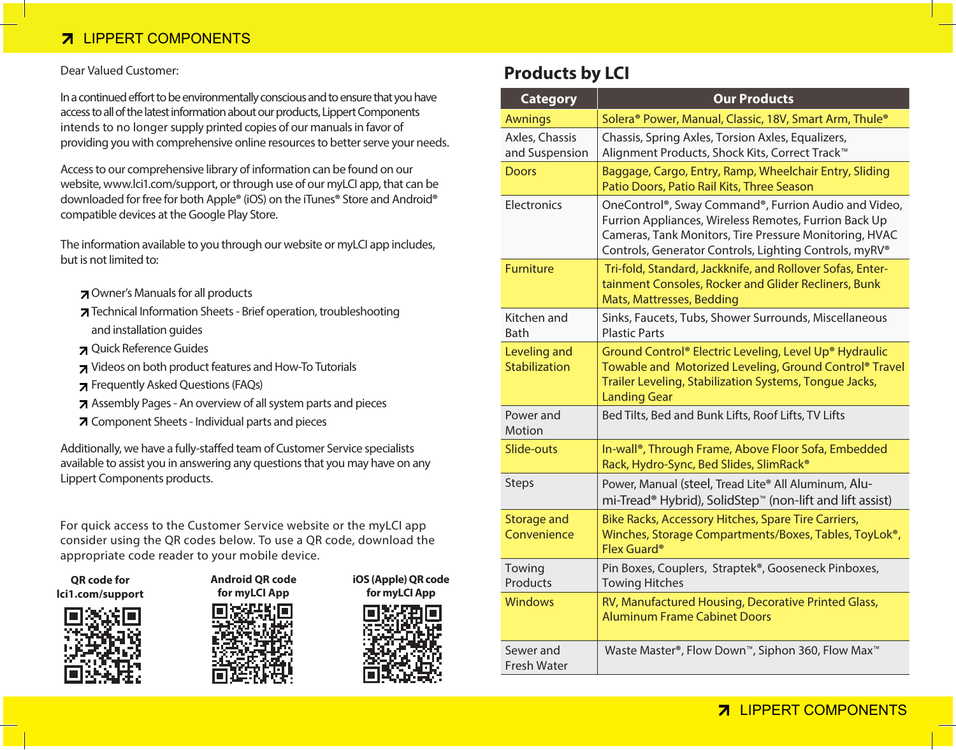### **7 LIPPERT COMPONENTS**

#### Dear Valued Customer:

In a continued effort to be environmentally conscious and to ensure that you have access to all of the latest information about our products, Lippert Components intends to no longer supply printed copies of our manuals in favor of providing you with comprehensive online resources to better serve your needs.

Access to our comprehensive library of information can be found on our website, www.lci1.com/support, or through use of our myLCI app, that can be downloaded for free for both Apple**®** (iOS) on the iTunes**®** Store and Android**®** compatible devices at the Google Play Store.

The information available to you through our website or myLCI app includes, but is not limited to:

- Owner's Manuals for all products
- Technical Information Sheets Brief operation, troubleshooting and installation guides
- Quick Reference Guides
- Videos on both product features and How-To Tutorials
- Frequently Asked Questions (FAQs)
- Assembly Pages An overview of all system parts and pieces
- Component Sheets Individual parts and pieces

Additionally, we have a fully-staffed team of Customer Service specialists available to assist you in answering any questions that you may have on any Lippert Components products.

For quick access to the Customer Service website or the myLCI app consider using the QR codes below. To use a QR code, download the appropriate code reader to your mobile device.

**QR code for lci1.com/support**







**iOS (Apple) QR code for myLCI App**



### **Products by LCI**

| <b>Category</b>                   | <b>Our Products</b>                                                                                                                                                                                                               |
|-----------------------------------|-----------------------------------------------------------------------------------------------------------------------------------------------------------------------------------------------------------------------------------|
| <b>Awnings</b>                    | Solera <sup>®</sup> Power, Manual, Classic, 18V, Smart Arm, Thule <sup>®</sup>                                                                                                                                                    |
| Axles, Chassis<br>and Suspension  | Chassis, Spring Axles, Torsion Axles, Equalizers,<br>Alignment Products, Shock Kits, Correct Track <sup>™</sup>                                                                                                                   |
| <b>Doors</b>                      | Baggage, Cargo, Entry, Ramp, Wheelchair Entry, Sliding<br>Patio Doors, Patio Rail Kits, Three Season                                                                                                                              |
| Electronics                       | OneControl®, Sway Command®, Furrion Audio and Video,<br>Furrion Appliances, Wireless Remotes, Furrion Back Up<br>Cameras, Tank Monitors, Tire Pressure Monitoring, HVAC<br>Controls, Generator Controls, Lighting Controls, myRV® |
| Furniture                         | Tri-fold, Standard, Jackknife, and Rollover Sofas, Enter-<br>tainment Consoles, Rocker and Glider Recliners, Bunk<br>Mats, Mattresses, Bedding                                                                                    |
| Kitchen and<br>Bath               | Sinks, Faucets, Tubs, Shower Surrounds, Miscellaneous<br><b>Plastic Parts</b>                                                                                                                                                     |
| Leveling and<br>Stabilization     | Ground Control® Electric Leveling, Level Up® Hydraulic<br>Towable and Motorized Leveling, Ground Control® Travel<br>Trailer Leveling, Stabilization Systems, Tongue Jacks,<br><b>Landing Gear</b>                                 |
| Power and<br>Motion               | Bed Tilts, Bed and Bunk Lifts, Roof Lifts, TV Lifts                                                                                                                                                                               |
| Slide-outs                        | In-wall®, Through Frame, Above Floor Sofa, Embedded<br>Rack, Hydro-Sync, Bed Slides, SlimRack®                                                                                                                                    |
| Steps                             | Power, Manual (steel, Tread Lite® All Aluminum, Alu-<br>mi-Tread <sup>®</sup> Hybrid), SolidStep <sup>™</sup> (non-lift and lift assist)                                                                                          |
| <b>Storage and</b><br>Convenience | Bike Racks, Accessory Hitches, Spare Tire Carriers,<br>Winches, Storage Compartments/Boxes, Tables, ToyLok <sup>®</sup> ,<br>Flex Guard <sup>®</sup>                                                                              |
| Towing<br>Products                | Pin Boxes, Couplers, Straptek®, Gooseneck Pinboxes,<br><b>Towing Hitches</b>                                                                                                                                                      |
| <b>Windows</b>                    | RV, Manufactured Housing, Decorative Printed Glass,<br><b>Aluminum Frame Cabinet Doors</b>                                                                                                                                        |
| Sewer and<br><b>Fresh Water</b>   | Waste Master®, Flow Down™, Siphon 360, Flow Max™                                                                                                                                                                                  |